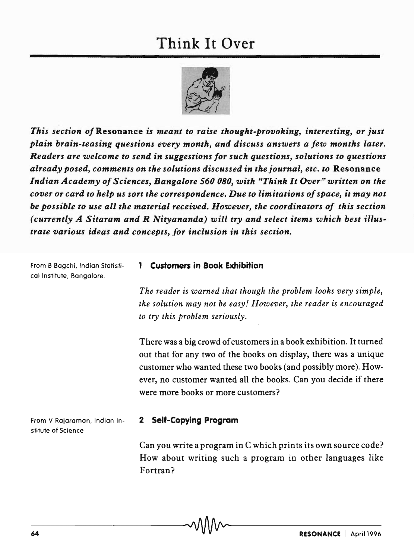

*This section of* Resonance *is meant to raise thought-provoking, interesting, or just plain brain-teasing questions every month, and discuss answers a few months later. Readers are welcome to send* in *suggestions for such questions, solutions to questions already posed, comments on the solutions discussed* in *the journal, etc. to* Resonance *Indian Academy of Sciences, Bangalore 560080, with "Think It Over" written on the cover or card to help us sort the correspondence. Due to limitations of space, it may not be possible to use all the material received. However, the coordinators of this section (currently A Sitaram and R Nityananda) will try and select items which best illustrate various ideas and concepts, for inclusion* in *this section.* 

From B Bagchi, Indian Statistical Institute, Bangalore.

## 1 Customers in Book Exhibition

*The reader is warned that though the problem looks very simple, the solution may not be easy! However, the reader is encouraged to try this problem seriously.* 

There was a big crowd of customers in a book exhibition. It turned out that for any two of the books on display, there was a unique customer who wanted these two books (and possibly more). However, no customer wanted all the books. Can you decide if there were more books or more customers?

From V Rajaraman, Indian Institute of Science

## 2 Self-Copying Program

Can you write a program in C which prints its own source code? How about writing such a program in other languages like Fortran?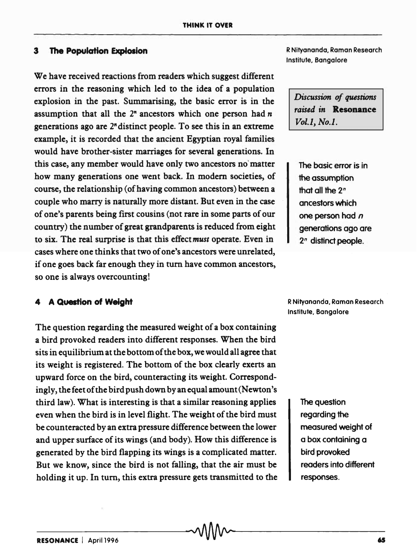## **3 The Population Explosion**

We have received reactions from readers which suggest different errors in the reasoning which led to the idea of a population explosion in the past. Summarising, the basic error is in the assumption that all the  $2<sup>n</sup>$  ancestors which one person had  $n$ generations ago are  $2<sup>n</sup>$  distinct people. To see this in an extreme example, it is recorded that the ancient Egyptian royal families would have brother-sister marriages for several generations. In this case, any member would have only two ancestors no'matter how many generations one went back. In modem societies, of course, the relationship (of having common ancestors) between a couple who marry is naturally more distant. But even in the case of one's parents being first cousins (not rare in some parts of our country) the number of great grandparents is reduced from eight to six. The real surprise is that this effect *must* operate. Even in cases where one thinks that two of one's ancestors were unrelated, if one goes back far enough they in tum have common ancestors, so one is always overcounting!

## 4 **A Question of Weight**

The question regarding the measured weight of a box containing a bird provoked readers into different responses. When the bird sits in equilibrium at the bottom of the box, we would all agree that its weight is registered. The bottom of the box clearly exerts an upward force on the bird, counteracting its weight. Correspondingly, the feet of the bird push down by an equal amount (Newton's third law). What is interesting is that a similar reasoning applies even when the bird is in level flight. The weight of the bird must be counteracted by an extra pressure difference between the lower and upper surface of its wings (and body). How this difference is generated by the bird flapping its wings is a complicated matter. But we know, since the bird is not falling, that the air must be holding it up. In tum, this extra pressure gets transmitted to the R Nityananda, Raman Research Institute, Bangalore

*Discussion of questions raised in* Resonance *Vol.l, No.1.* 

The basic error is in the assumption that all the *2*<sup>n</sup> ancestors which one person had *n*  generations ago are *2n* distinct people.

R Nityananda, Raman Research Institute, Bangalore

> The question regarding the measured weight of a box containing a bird provoked readers into different responses.